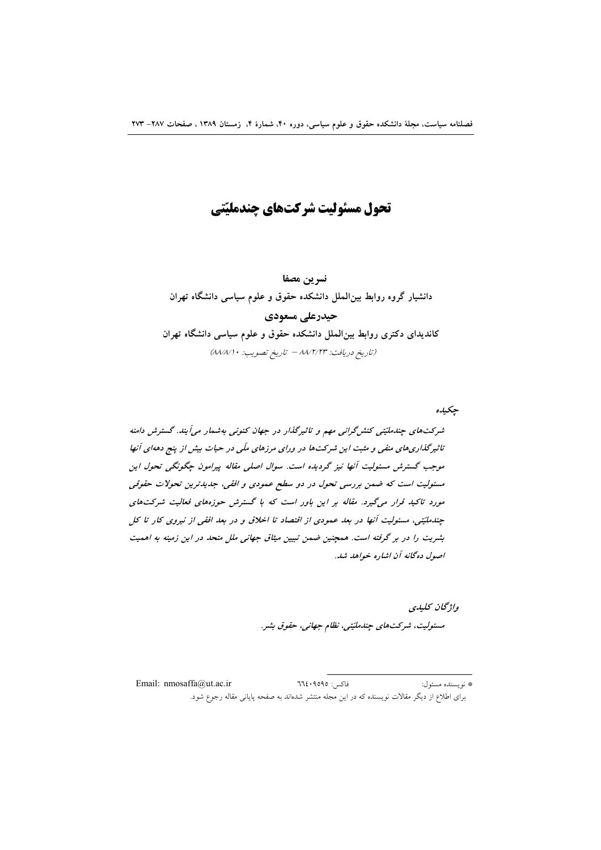تحول مسئوليت شركتهاي چندمليّتي

نسرين مصفا دانشیار گروه روابط بین الملل دانشکده حقوق و علوم سیاسی دانشگاه تهران حیدرعلی مسعودی

کاندیدای دکتری روابط بین|لملل دانشکده حقوق و علوم سیاسی دانشگاه تهران (تاريخ دريافت: ٨٨/٢/٢٣ - تاريخ تصويب: ٨٨/٨/١٠)

جكيده شرکتهای چندملیّتی کنش گرانی مهم و تاثیرگذار در جهان کنونی بهشمار میآیند. گسترش دامنه تاثیرگذاریهای منفی و مثبت این شرکتها در ورای مرزهای ملّی در حیات بیش از پنج دههای آنها موجب گسترش مسئولیت آنها نیز گردیده است. سوال اصلی مقاله پیرامون چگونگی تحول این مسئولیت است که ضمن بررسی تحول در دو سطح عمودی و افقی، جدیدترین تحولات حقوقی مورد تاکید قرار میگیرد. مقاله بر این باور است که با گسترش حوزههای فعالیت شرکتهای چندملیّتی، مسئولیت آنها در بعد عمودی از اقتصاد تا اخلاق و در بعد افقی از نیروی کار تا کل

بشریت را در بر گرفته است. همچنین ضمن تبیین میثاق جهانی ملل متحد در این زمینه به اهمیت اصول ده گانه آن اشاره خواهد شد.

> واژگان كليدي مسئولیت، شرکتهای چندملیّتی، نظام جهانی، حقوق بشر.

Email: nmosaffa@ut.ac.ir فاكس: ٩٥٩٥: ٦٦٤ \* نو يسنده مسئول: برای اطلاع از دیگر مقالات نویسنده که در این مجله منتشر شدهاند به صفحه پایانی مقاله رجوع شود.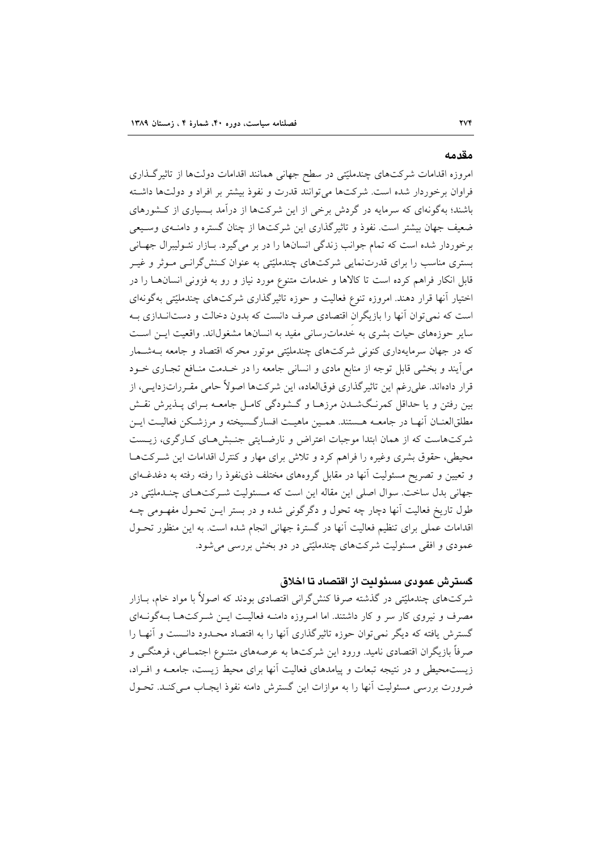#### مقدمه

امروزه اقدامات شرکتهای چندملیّتی در سطح جهانی همانند اقدامات دولتها از تاثیرگـذاری فراوان برخوردار شده است. شرکتها میتوانند قدرت و نفوذ بیشتر بر افراد و دولتها داشته باشند؛ بهگونهای که سرمایه در گردش برخی از این شرکتها از درآمد بـسیاری از کـشورهای ضعیف جهان بیشتر است. نفوذ و تاثیر گذاری این شرکتها از چنان گستره و دامنـهی وسـیعی برخوردار شده است که تمام جوانب زندگی انسانها را در بر می گیرد. بازار نئـوليبرال جهـانی بستری مناسب را برای قدرتِنمایی شرکتهای چندملیّتی به عنوان کـنش گرانـی مـوثر و غیـر قابل انکار فراهم کرده است تا کالاها و خدمات متنوع مورد نیاز و رو به فزونی انسانها را در اختیار آنها قرار دهند. امروزه تنوع فعالیت و حوزه تاثیرگذاری شرکتهای چندملیّتی بهگونهای است که نمی توان آنها را بازیگران اقتصادی صرف دانست که بدون دخالت و دستانـدازی بـه سایر حوزههای حیات بشری به خدمات رسانی مفید به انسانها مشغول اند. واقعیت ایـن اسـت که در جهان سرمایهداری کنونی شرکتهای چندملیّتی موتور محرکه اقتصاد و جامعه بـهشـمار می آیند و بخشی قابل توجه از منابع مادی و انسانی جامعه را در خـدمت منـافع تجـاری خـود قرار دادهاند. على رغم اين تاثيرگذاري فوق|لعاده، اين شركتها اصولاً حامي مقـرراتزدايـي، از بین رفتن و یا حداقل کمرنگشدن مرزهـا و گــشودگی کامـل جامعــه بـرای پــذیرش نقــش مطلقالعنـان آنهـا در جامعــه هـستند. همـين ماهيـت افسارگـسيخته و مرزشـكن فعاليـت ايـن شرکتهاست که از همان ابتدا موجبات اعتراض و نارضـایتی جنـبش هـای کـارگری، زیـست محیطی، حقوق بشری وغیره را فراهم کرد و تلاش برای مهار و کنترل اقدامات این شـرکتهـا و تعیین و تصریح مسئولیت آنها در مقابل گروههای مختلف ذی نفوذ را رفته رفته به دغدغــهای جهانی بدل ساخت. سوال اصلی این مقاله این است که مـسئولیت شـرکتهـای چنـدملیّتی در طول تاریخ فعالیت آنها دچار چه تحول و دگرگونی شده و در بستر ایـن تحـول مفهـومی چـه اقدامات عملی برای تنظیم فعالیت آنها در گسترهٔ جهانی انجام شده است. به این منظور تحـول عمودي و افقي مسئوليت شركتهاي چندمليّتي در دو بخش بررسي مي شود.

# گسترش عمودی مسئولیت از اقتصاد تا اخلاق

شرکتهای چندملیّتی در گذشته صرفا کنشگرانی اقتصادی بودند که اصولاً با مواد خام، بــازار مصرف و نیروی کار سر و کار داشتند. اما امـروزه دامنـه فعالیـت ایـن شـرکتهـا بـهگونـهای گسترش یافته که دیگر نمی توان حوزه تاثیرگذاری آنها را به اقتصاد محـدود دانـست و آنهـا را صرفاً بازیگران اقتصادی نامید. ورود این شرکتها به عرصههای متنـوع اجتمـاعی، فرهنگــی و زیستمحیطی و در نتیجه تبعات و پیامدهای فعالیت آنها برای محیط زیست، جامعـه و افــراد، ضرورت بررسی مسئولیت آنها را به موازات این گسترش دامنه نفوذ ایجـاب مـی کنـد. تحـول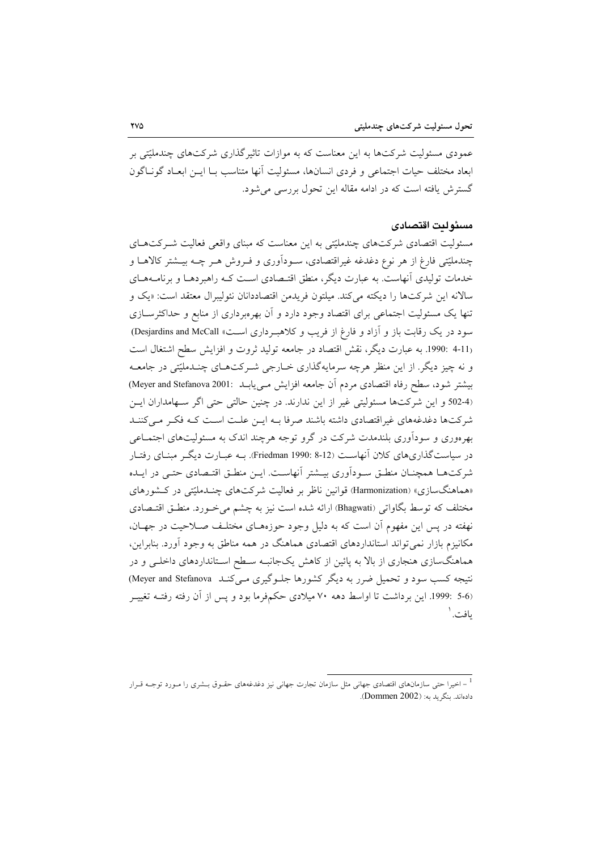عمودی مسئولیت شرکتها به این معناست که به موازات تاثیر گذاری شرکتهای چندملیّتی بر ابعاد مختلف حيات اجتماعي و فردي انسانها، مسئوليت أنها متناسب بـا ايــن ابعـاد گونـاگون گسترش یافته است که در ادامه مقاله این تحول بررسی می شود.

### مسئولىت اقتصادى

مسئولیت اقتصادی شرکتهای چندملیّتی به این معناست که مبنای واقعی فعالیت شـرکتهـای چندملیّتی فارغ از هر نوع دغدغه غیراقتصادی، سـوداَوری و فـروش هـر چـه بیــشتر کالاهــا و خدمات تولیدی آنهاست. به عبارت دیگر، منطق اقتـصادی اسـت کـه راهبردهـا و برنامـههـای سالانه این شرکتها را دیکته می کند. میلتون فریدمن اقتصاددانان نئولیبرال معتقد است: «یک و تنها یک مسئولیت اجتماعی برای اقتصاد وجود دارد و آن بهرهبرداری از منابع و حداکثرسازی سود در یک رقابت باز و آزاد و فارغ از فریب و کلاهبرداری است، Desjardins and McCall) (4-11 :1990. به عبارت ديگر، نقش اقتصاد در جامعه توليد ثروت و افزايش سطح اشتغال است و نه چیز دیگر. از این منظر هرچه سرمایهگذاری خـارجی شـرکتهـای چنـدملیّتی در جامعـه بيشتر شود، سطح رفاه اقتصادي مردم أن جامعه افزايش مـيLيابـــ (Meyer and Stefanova 2001) (4-502 و اين شركتها مسئوليتي غير از اين ندارند. در چنين حالتي حتى اگر سـهامداران ايـن شرکتها دغدغههای غیراقتصادی داشته باشند صرفا بـه ایـن علـت اسـت کـه فکـر مـیکننـد بهرهوری و سودآوری بلندمدت شرکت در گرو توجه هرچند اندک به مسئولیتهای اجتمـاعی در سیاستگذاریهای کلان آنهاست (8-12 :Friedman 1990). بــه عبــارت دیگــر مبنــای رفتــار شرکتهـا همچنــان منطــق ســوداَوري بيــشتر اَنهاســت. ايــن منطــق اقتــصادي حتــي در ايــده «هماهنگسازی» (Harmonization) قوانین ناظر بر فعالیت شرکتهای چنـدملیّتی در کـشورهای مختلف که توسط بگاواتی (Bhagwati) ارائه شده است نیز به چشم می خـورد. منطـق اقتـصادی نهفته در پس این مفهوم آن است که به دلیل وجود حوزههـای مختلـف صـلاحیت در جهـان، مکانیزم بازار نمیتواند استانداردهای اقتصادی هماهنگ در همه مناطق به وجود آورد. بنابراین، هماهنگسازی هنجاری از بالا به پائین از کاهش یکجانبـه سـطح اسـتانداردهای داخلـی و در نتیجه کسب سود و تحمیل ضرر به دیگر کشورها جلـوگیری مـیکنـد Meyer and Stefanova) (5-6 :1999. این برداشت تا اواسط دهه ۷۰ میلادی حکمفرما بود و پس از آن رفته رفتــه تغییــر ىافت. `

<sup>۔&</sup>lt;br>اخیرا حتی سازمانہای اقتصادی جھانی مثل سازمان تجارت جھانی نیز دغدغهہای حقـوق بــشری را مـورد توجــه قـرار -دادهاند. بنگ بد به: (Dommen 2002).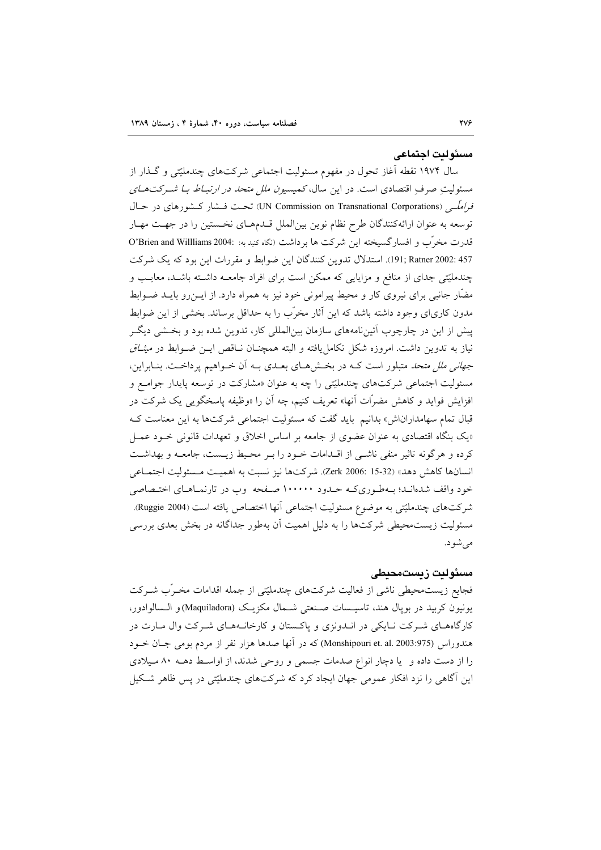#### مسئولت احتماعي

سال ۱۹۷۴ نقطه آغاز تحول در مفهوم مسئولیت اجتماعی شرکتهای چندملیّتی و گـذار از مسئولیتِ صرفِ اقتصادی است. در این سال، *کمیسیون ملل متحد در ارتبـاط بـا شــرکت*هــ*ای فراملّبی (*UN Commission on Transnational Corporations) تحت فسشار کسشورهای در حسال توسعه به عنوان ارائهکنندگان طرح نظام نوین بین|لملل قـدمهـای نخـستین را در جهـت مهـار قدرت مخرَّب و افسارگسیخته این شرکت ها برداشت (نگاه کنید به: O'Brien and Willliams 2004: 457 :191; Ratner 2002). استدلال تدوين كنندگان اين ضوابط و مقررات اين بود كه يك شركت چندملیّتی جدای از منافع و مزایایی که ممکن است برای افراد جامعــه داشــته باشــد، معایـب و مضّار جانبی برای نیروی کار و محیط پیرامونی خود نیز به همراه دارد. از ایــن(و بایــد ضــوابط مدون کاریای وجود داشته باشد که این آثار مخرّب را به حداقل برساند. بخشی از این ضوابط پیش از این در چارچوب آئینiامههای سازمان بین|لمللی کار، تدوین شده بود و بخـشی دیگـر نیاز به تدوین داشت. امروزه شکل تکامل یافته و البته همچنــان نــاقص ایــن ضــوابط در *میثــاق جهانی ملل متحد متبلور است ک*ه در بخشهای بعـدی بـه اّن خـواهیم پرداخـت. بنـابراین، مسئولیت اجتماعی شرکتهای چندملیّتی را چه به عنوان «مشارکت در توسعه پایدار جوامـع و افزایش فواید و کاهش مضرَّات أنها» تعریف کنیم، چه أن را «وظیفه پاسخگویی یک شرکت در قبال تمام سهامداراناش» بدانیم باید گفت که مسئولیت اجتماعی شرکتها به این معناست ک «یک بنگاه اقتصادی به عنوان عضوی از جامعه بر اساس اخلاق و تعهدات قانونی خـود عمـل كرده و هرگونه تاثير منفي ناشـي از اقـدامات خـود را بـر محـيط زيـست، جامعـه و بهداشـت انسانها كاهش دهد» (Zerk 2006: 15-32). شركتها نيز نسبت به اهميت مـسئوليت اجتمـاعي خود واقف شدهانـد؛ بـهطـوريكـه حـدود ١٠٠٠٠٠ صـفحه وب در تارنمـاهـاي اختـصاصي شركتهاي چندمليّتي به موضوع مسئوليت اجتماعي آنها اختصاص يافته است (Ruggie 2004). مسئولیت زیستمحیطی شرکتها را به دلیل اهمیت آن بهطور جداگانه در بخش بعدی بررسی مې شو د.

### مسئوليت زيستمحيطى

فجایع زیست.محیطی ناشی از فعالیت شرکتهای چندملیّتی از جمله اقدامات مخـرّب شــرکت يونيون كربيد در بويال هند، تاسيـسات صـنعتي شـمال مكزيـك (Maquiladora) و الـسالوادور، کارگاههای شرکت نـایکی در انـدونزی و پاکـستان و کارخانـههـای شـرکت وال مـارت در هندوراس (Monshipouri et. al. 2003:975) که در آنها صدها هزار نفر از مردم بومی جـان خــود را از دست داده و یا دچار انواع صدمات جسمی و روحی شدند، از اواسط دهـه ۸۰ میلادی این آگاهی را نزد افکار عمومی جهان ایجاد کرد که شرکتهای چندملیّتی در پس ظاهر شکیل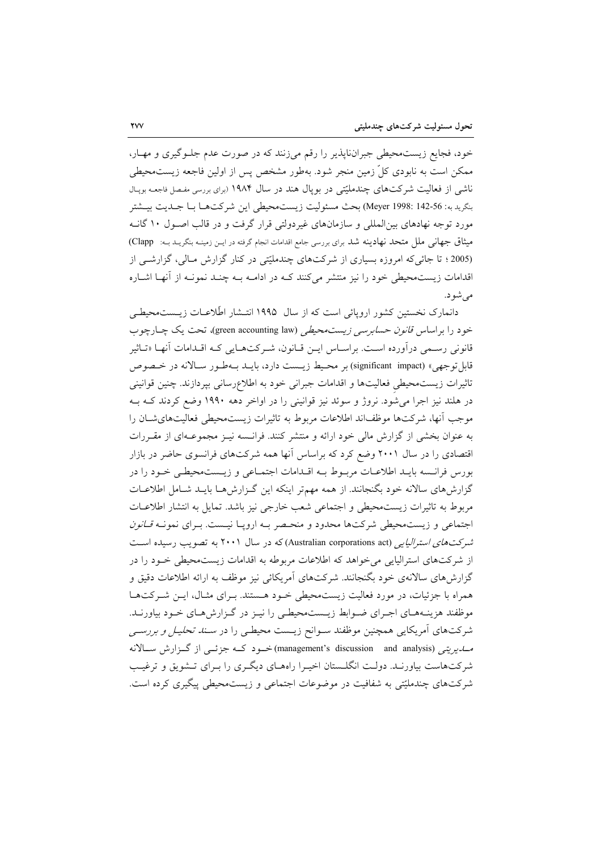خود، فجایع زیست،محیطی جبرانناپذیر را رقم میزنند که در صورت عدم جلـوگیری و مهـار، ممکن است به نابودی کلِّ زمین منجر شود. بهطور مشخص پس از اولین فاجعه زیستمحیطی ناشی از فعالیت شرکتهای چندملیّتی در بویال هند در سال ۱۹۸۴ (برای بررسی مفـصل فاجعـه بویـال بنكريد به: Meyer 1998: 142-56) بحث مسئوليت زيست.محيطي اين شركتهـا بـا جــديت بيــشتر مورد توجه نهادهای بین|لمللی و سازمانهای غیردولتی قرار گرفت و در قالب اصـول ۱۰ گانـه میثاق جهانی ملل متحد نهادینه شد برای بررسی جامع اقدامات انجام گرفته در ایـن زمینـه بنگریـد بــه: Clapp) (2005؛ تا جائی که امروزه بسیاری از شرکتهای چندملیّتی در کنار گزارش مـالی، گزارشــی از اقدامات زیستمحیطی خود را نیز منتشر میکنند ک در ادامـه بـه چنـد نمونـه از آنهـا اشـاره مے شو د.

دانمارک نخستین کشور اروپائی است که از سال ۱۹۹۵ انتـشار اطّلاعـات زیــست،حیطـی خود را براساس قا*نون حسابرسی زیست محیطی* (green accounting law)، تحت یک چـارچوب قانونی رسـمی درآورده اسـت. براسـاس ایـن قـانون، شـرکتهـایی کـه اقـدامات آنهـا «تـاثیر قابل توجهي» (significant\_impact) بر محيط زيــست دارد، بايــد بــهطـور ســالانه در خــصوص تاثیرات زیست.حیطی فعالیتها و اقدامات جبرانی خود به اطلاعِرسانی بپردازند. چنین قوانینی در هلند نیز اجرا میشود. نروژ و سوئد نیز قوانینی را در اواخر دهه ۱۹۹۰ وضع کردند کـه بـه موجب آنها، شرکتها موظفاند اطلاعات مربوط به تاثیرات زیستمحیطی فعالیتهای شان را به عنوان بخشی از گزارش مالی خود ارائه و منتشر کنند. فرانــسه نیــز مجموعــهای از مقــرات اقتصادی را در سال ۲۰۰۱ وضع کرد که براساس آنها همه شرکتهای فرانسوی حاضر در بازار بورس فرانسه بايـد اطلاعـات مربـوط بـه اقـدامات اجتمـاعي و زيــستمحيطـي خـود را در گزارشهای سالانه خود بگنجانند. از همه مهمتر اینکه این گـزارشهـا بایـد شـامل اطلاعـات مربوط به تاثيرات زيست محيطى و اجتماعى شعب خارجى نيز باشد. تمايل به انتشار اطلاعـات اجتماعی و زیستمحیطی شرکتها محدود و منحـصر بـه اروپـا نیـست. بـرای نمونـه ق*ـانون* شرکتهای استرالیایی (Australian corporations act) که در سال ۲۰۰۱ به تصویب رسیده است از شرکتهای استرالیایی می خواهد که اطلاعات مربوطه به اقدامات زیستمحیطی خـود را در گزارشهای سالانهی خود بگنجانند. شرکتهای آمریکائی نیز موظف به ارائه اطلاعات دقیق و همراه با جزئیات، در مورد فعالیت زیستمحیطی خــود هــستند. بــرای مثــال، ایــن شــرکتهــا موظفند هزینـههـای اجـرای ضـوابط زیــستـمحیطـی را نیـز در گـزارشهـای خـود بیاورنــد. شرکتهای آمریکایی همچنین موظفند سـوانح زیــست محیطـی را در *ســند تحلیـل و بررســی* مسایریتی (management's discussion) and analysis) خسود کسه جزئی از گیزارش سیالانه شرکتهاست بیاورنـد. دولـت انگلــستان اخیــرا راههــای دیگــری را بــرای تــشویق و ترغیــب شرکتهای چندملیّتی به شفافیت در موضوعات اجتماعی و زیستمحیطی پیگیری کرده است.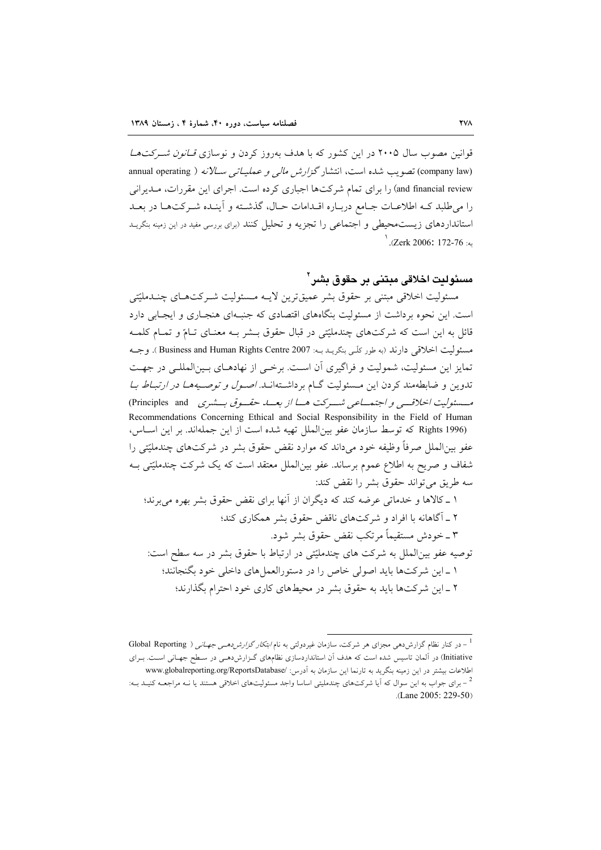قوانین مصوب سال ۲۰۰۵ در این کشور که با هدف بهروز کردن و نوسازی *قـانون شـرکتهـا* (company law) تصویب شده است، انتشار *گزارش مالی و عملیاتی س*لانه ( annual operating and financial review) را برای تمام شرکتها اجباری کرده است. اجرای این مقررات، مـدیرانی را می طلبد کـه اطلاعـات جـامع دربـاره اقـدامات حـال، گذشـته و آينـده شـركتهـا در بعـد استانداردهای زیستمحیطی و اجتماعی را تجزیه و تحلیل کنند (برای بررسی مفید در این زمینه بنکریـد . (Zerk 2006: 172-76).

مسئولت اخلاقي مبتني بر حقوق بشر '

مسئوليت اخلاقي مبتني بر حقوق بشر عميقترين لايـه مـسئوليت شـركتهـاي چنـدمليّتي است. این نحوه برداشت از مسئولیت بنگاههای اقتصادی که جنبهای هنجباری و ایجبایی دارد قائل به این است که شرکتهای چندملیّتی در قبال حقوق بـشر بـه معنـای تـامّ و تمـام کلمـه مسئوليت اخلاقي دارند (به طور كلّبي بنگريـد بـه: Business and Human Rights Centre 2007). وجــه تمایز این مسئولیت، شمولیت و فراگیری آن است. برخبی از نهادهـای بـین|لمللـی در جهـت تدوین و ضابطهمند کردن این مسئولیت گـام برداشـتهانـد. *اصـول و توصـیههـا در ارتبـاط بـا* مسسئوليت الحلاقسي و اجتهساعي شسيركت هسا از بعسه حقسوق بسشيري Principles and ) Recommendations Concerning Ethical and Social Responsibility in the Field of Human Rights 1996) كه توسط سازمان عفو بين الملل تهيه شده است از اين جملهاند. بر اين اسـاس، عفو بینالملل صرفاً وظیفه خود میداند که موارد نقض حقوق بشر در شرکتهای چندملیّتی را شفاف و صریح به اطلاع عموم برساند. عفو بین|لملل معتقد است که یک شرکت چندملیّتی بـه سه طريق مي تواند حقوق بشر را نقض كند:

۱ ـ کالاها و خدماتی عرضه کند که دیگران از آنها برای نقض حقوق بشر بهره می برند؛ ۲ \_ آگاهانه با افراد و شركتهاى ناقض حقوق بشر همكارى كند؛ ٣ ــ خودش مستقيماً مرتكب نقض حقوق بشر شود. توصیه عفو بین الملل به شرکت های چندملیّتی در ارتباط با حقوق بشر در سه سطح است:

۱ \_اين شركتها بايد اصولي خاص را در دستورالعمل هاي داخلي خود بگنجانند؛ ۲ \_ این شرکتها باید به حقوق بشر در محیطهای کاری خود احترام بگذارند؛

<sup>-</sup> در کنار نظام گزارش دهی مجزای هر شرکت، سازمان غیردولتی به نام *ابتکار گزارش دهـی جهـانی* ( Global Reporting Initiative) در آلمان تاسیس شده است که هدف آن استانداردسازی نظامهای گـزارش۵دهـی در سـطح جهـانی اسـت. بـرای اطلاعات بیشتر در این زمینه بنگرید به تارنما این سازمان به أدرس: /www.globalreporting.org/ReportsDatabase <sup>2</sup> – برای جواب به این سوال که آیا شرکتهای چندملیتی اساسا واجد مسئولیتهای اخلاقی هستند یا نــه مراجعــه کنیــد بــه: .(Lane 2005: 229-50)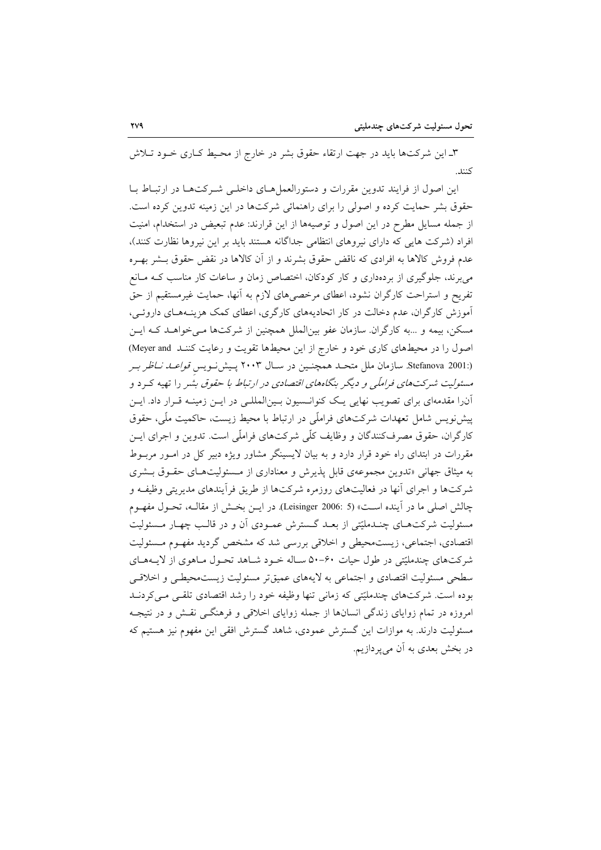۳ـ این شرکتها باید در جهت ارتقاء حقوق بشر در خارج از محـیط کـاری خــود تــلاش كنند.

این اصول از فرایند تدوین مقررات و دستورالعمل هـای داخلـی شـرکتهـا در ارتبـاط بـا حقوق بشر حمایت کرده و اصولی را برای راهنمائی شرکتها در این زمینه تدوین کرده است. از جمله مسایل مطرح در این اصول و توصیهها از این قرارند: عدم تبعیض در استخدام، امنیت افراد (شرکت هایی که دارای نیروهای انتظامی جداگانه هستند باید بر این نیروها نظارت کنند)، عدم فروش کالاها به افرادی که ناقض حقوق بشرند و از آن کالاها در نقض حقوق بــشر بهـره می برند، جلوگیری از بردهداری و کار کودکان، اختصاص زمان و ساعات کار مناسب کـه مـانع تفریح و استراحت کارگران نشود، اعطای مرخصی های لازم به آنها، حمایت غیرمستقیم از حق آموزش کارگران، عدم دخالت در کار اتحادیههای کارگری، اعطای کمک هزینـههـای داروئـی، مسکن، بیمه و …به کارگران سازمان عفو بینالملل همچنین از شرکتها مـی خواهــد کـه ایــن اصول را در محیطهای کاری خود و خارج از این محیطها تقویت و رعایت کننـد Meyer and (:Stefanova 2001. سازمان ملل متحـد همچنـین در سـال ۲۰۰۳ پـیشiویس *قواعـد نــاظر بـر* مسئولیت شرکتها*ی فراملّی و دیگ*ر بنگاههای *اقتصادی در ارتباط با حقوق بش*ر را تهیه که د و آنرا مقدمهای برای تصویب نهایی یک کنوانسیون بـینالمللـی در ایـن زمینـه قـرار داد. ایـن پیشنویس شامل تعهدات شرکتهای فراملّی در ارتباط با محیط زیست، حاکمیت ملّی، حقوق کارگران، حقوق مصرفکنندگان و وظایف کلّی شرکتهای فراملّی است. تدوین و اجرای ایــن مقررات در ابتدای راه خود قرار دارد و به بیان لایسینگر مشاور ویژه دبیر کل در امـور مربـوط به میثاق جهانی «تدوین مجموعهی قابل پذیرش و معناداری از مـسئولیتهـای حقـوق بـشری شرکتها و اجرای آنها در فعالیتهای روزمره شرکتها از طریق فرآیندهای مدیریتی وظیفـه و چالش اصلي ما در آينده است» (Leisinger 2006: 5). در ايـن بخـش از مقالـه، تحـول مفهـوم مسئولیت شرکتهـای چنـدملیّتی از بعـد گـسترش عمـودی آن و در قالـب چهـار مـسئولیت اقتصادی، اجتماعی، زیستمحیطی و اخلاقی بررسی شد که مشخص گردید مفهـوم مـسئولیت شرکتهای چندملیّتی در طول حیات ۶۰-۵۰ سـاله خـود شـاهد تحـول مـاهوی از لایـههـای سطحی مسئولیت اقتصادی و اجتماعی به لایههای عمیقتر مسئولیت زیستمحیطـی و اخلاقـی بوده است. شرکتهای چندملیّتی که زمانی تنها وظیفه خود را رشد اقتصادی تلقبی مـیکردنــد امروزه در تمام زوایای زندگی انسانها از جمله زوایای اخلاقی و فرهنگــی نقــش و در نتیجــه مسئولیت دارند. به موازات این گسترش عمودی، شاهد گسترش افقی این مفهوم نیز هستیم که در بخش بعدی به آن می پر دازیم.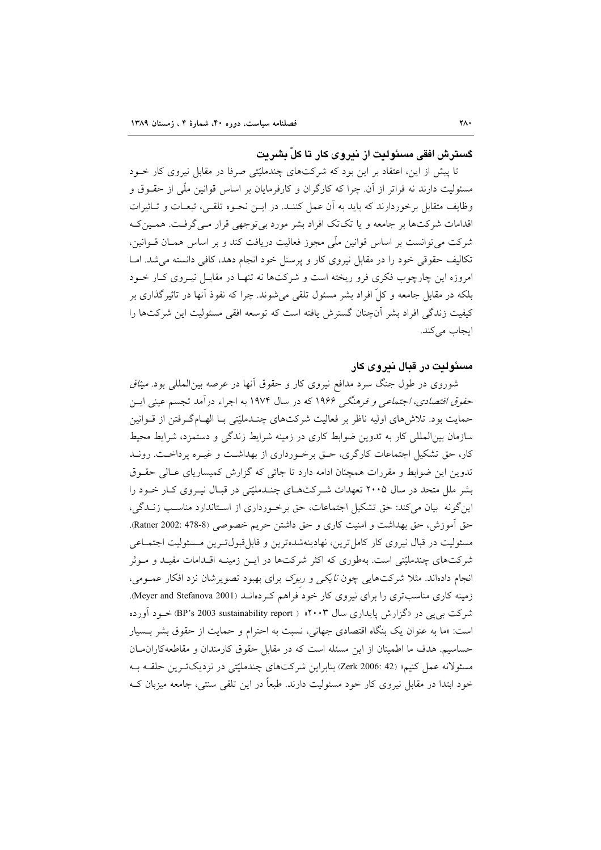كسترش افقي مسئوليت از نيروي كار تا كلّ بشريت

تا پیش از این، اعتقاد بر این بود که شرکتهای چندملیّتی صرفا در مقابل نیروی کار خــود مسئولیت دارند نه فراتر از آن. چرا که کارگران و کارفرمایان بر اساس قوانین ملّی از حقــوق و وظايف متقابل برخوردارند كه بايد به آن عمل كننـد. در ايـن نحـوه تلقـى، تبعـات و تـاثيرات اقدامات شرکتها بر جامعه و یا تکتک افراد بشر مورد بی توجهی قرار مـی گرفـت. همـین کـه شرکت می توانست بر اساس قوانین ملّی مجوز فعالیت دریافت کند و بر اساس همـان قــوانین، تکالیف حقوقی خود را در مقابل نیروی کار و پرسنل خود انجام دهد، کافی دانسته میشد. امـا امروزه این چارچوب فکری فرو ریخته است و شرکتها نه تنهـا در مقابــل نیــروی کــار خــود بلکه در مقابل جامعه و کلّ افراد بشر مسئول تلقی میشوند. چرا که نفوذ آنها در تاثیرگذاری بر کیفیت زندگی افراد بشر آنچنان گسترش یافته است که توسعه افقی مسئولیت این شرکتها را ایجاب می کند.

### مسئولیت در قبال نیروی کار

شوروی در طول جنگ سرد مدافع نیروی کار و حقوق آنها در عرصه بینالملل<sub>ی</sub> بود. *میثاق* حق*وق اقتصادی، اجتماعی و فرهنگی ۱۹۶۶* که در سال ۱۹۷۴ به اجراء درآمد تجسم عینی ایــن حمایت بود. تلاش های اولیه ناظر بر فعالیت شرکتهای چنـدملیّتی بـا الهــامگـرفتن از قــوانین سازمان بین|لمللی کار به تدوین ضوابط کاری در زمینه شرایط زندگی و دستمزد، شرایط محیط کار، حق تشکیل اجتماعات کارگری، حـق برخـورداری از بهداشـت و غیـره پرداخـت. رونـد تدوین این ضوابط و مقررات همچنان ادامه دارد تا جائی که گزارش کمیساریای عـالی حقـوق بشر ملل متحد در سال ۲۰۰۵ تعهدات شـرکتهـای چنـدملیّتی در قبـال نیـروی کـار خـود را این گونه بیان می کند: حق تشکیل اجتماعات، حق برخورداری از اسـتاندارد مناسـب زنــدگی، حق آموزش، حق بهداشت و امنيت كارى و حق داشتن حريم خصوصي (Ratner 2002: 478-8). مسئولیت در قبال نیروی کار کامل ترین، نهادینهشدهترین و قابل،قبولترین مـسئولیت اجتمـاعی شرکتهای چندملیّتی است. بهطوری که اکثر شرکتها در ایــن زمینــه اقــدامات مفیــد و مــوثر انجام دادهاند. مثلاً شرکتهایی چون *نایکی و ربوک برای بهبود تصویرشان نزد افکار عمـومی*، زمینه کاری مناسب تری را برای نیروی کار خود فراهم کردهانـد (Meyer and Stefanova 2001). شرکت یہ یے در «گزارش پایداری سال ۲۰۰۳» ( BP's 2003 sustainability report) خــود آورده است: «ما به عنوان یک بنگاه اقتصادی جهانی، نسبت به احترام و حمایت از حقوق بشر بـسیار حساسیم. هدف ما اطمینان از این مسئله است که در مقابل حقوق کارمندان و مقاطعهکاران مان مسئولانه عمل كنيم» (Zerk 2006: 42) بنابراين شركتهاي چندمليّتي در نزديكترين حلقـه بـه خود ابتدا در مقابل نیروی کار خود مسئولیت دارند. طبعاً در این تلقی سنتی، جامعه میزبان ک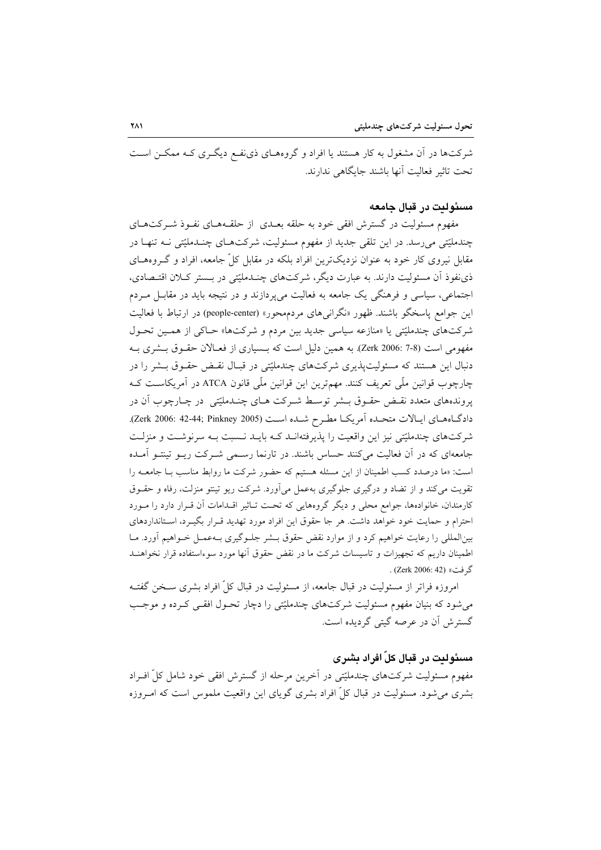شرکتها در آن مشغول به کار هستند یا افراد و گروههـای ذینفـع دیگـری کـه ممکـن اسـت تحت تاثير فعاليت أنها باشند جايگاهي ندارند.

## مسئوليت در قبال جامعه

مفهوم مسئولیت در گسترش افقی خود به حلقه بعــدی از حلقــههــای نفــوذ شــرکتهــای چندملیّتی میرسد. در این تلقی جدید از مفهوم مسئولیت، شرکتهـای چنـدملیّتی نــه تنهـا در مقابل نیروی کار خود به عنوان نزدیکترین افراد بلکه در مقابل کلّ جامعه، افراد و گـروههـای ذي نفوذ آن مسئوليت دارند. به عبارت ديگر، شركتهاي چنـدمليّتي در بـستر كـلان اقتـصادي، اجتماعي، سياسي و فرهنگي يک جامعه به فعاليت مي پردازند و در نتيجه بايد در مقابـل مـردم این جوامع پاسخگو باشند. ظهور «نگرانیهای مردمهحور» (people-center) در ارتباط با فعالیت شرکتهای چندملیّتی یا «منازعه سیاسی جدید بین مردم و شرکتها» حـاکی از همـین تحـول مفهومی است (7-3 .Zerk 2006). به همین دلیل است که بــسیاری از فعـالان حقـوق بــشری بــه دنبال این هستند که مسئولیتپذیری شرکتهای چندملیّتی در قبـال نقـض حقـوق بـشر را در چارچوب قوانین ملّی تعریف کنند. مهمترین این قوانین ملّی قانون ATCA در آمریکاست کـه پروندههای متعدد نقــض حقــوق بـــشر توســط شــرکت هــای چنــدملیّتی در چــارچوب اَن در دادگـاههـای ایـالات متحـده آمریکـا مطـرح شـده اسـت (Zerk 2006: 42-44; Pinkney 2005). شرکتهای چندملیّتی نیز این واقعیت را پذیرفتهانـد کـه بایـد نـسبت بـه سرنوشـت و منزلـت جامعهای که در آن فعالیت میکنند حساس باشند. در تارنما رسمی شـرکت ریـو تینتـو آمـده است: «ما درصدد کسب اطمینان از این مسئله هستیم که حضور شرکت ما روابط مناسب بـا جامعــه را تقویت می کند و از تضاد و درگیری جلوگیری بهعمل می آورد. شرکت ریو تینتو منزلت، رفاه و حقــوق کارمندان، خانوادهها، جوامع محلی و دیگر گروههایی که تحت تـاثیر اقـدامات آن قـرار دارد را مـورد احترام و حمایت خود خواهد داشت. هر جا حقوق این افراد مورد تهدید قـرار بگیـرد، اسـتانداردهای بینالمللی را رعایت خواهیم کرد و از موارد نقض حقوق بــشر جلــوگیری بــهعمــل خــواهیم أورد. مــا اطمینان داریم که تجهیزات و تاسیسات شرکت ما در نقض حقوق آنها مورد سوءاستفاده قرار نخواهنـد گر فت» (Zerk 2006: 42) .

امروزه فراتر از مسئولیت در قبال جامعه، از مسئولیت در قبال کلِّ افراد بشری سـخن گفتــه می شود که بنیان مفهوم مسئولیت شرکتهای چندملیّتی را دچار تحـول افقـی کـرده و موجـب گسترش اَن در عرصه گیتی گردیده است.

# مسئوليت در قبال کلّ افراد پشری

مفهوم مسئولیت شرکتهای چندملیّتی در آخرین مرحله از گسترش افقی خود شامل کلّ افـراد بشری می شود. مسئولیت در قبال کلّ افراد بشری گویای این واقعیت ملموس است که امـروزه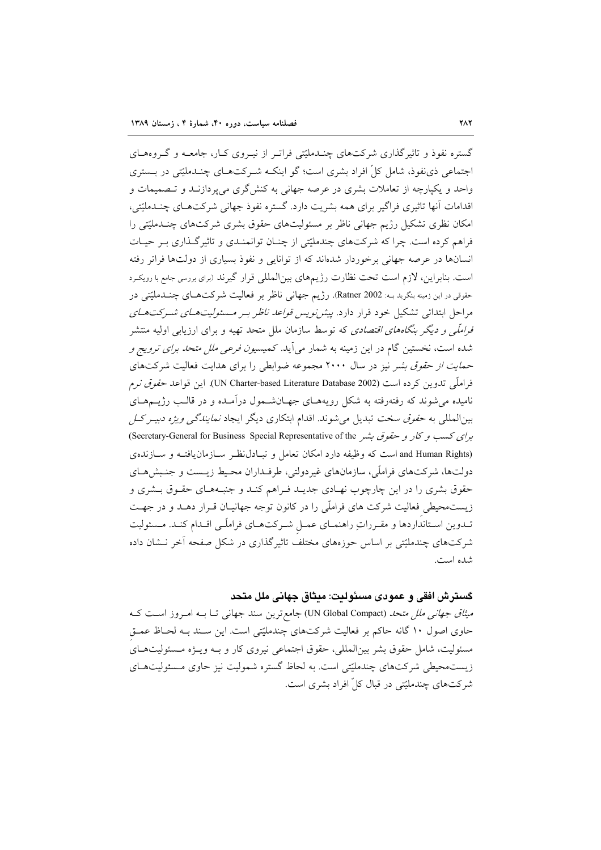گستره نفوذ و تاثیر گذاری شرکتهای چنــدملیّتی فراتـر از نیــروی کــار، جامعــه و گــروههــای اجتماعی ذی نفوذ، شامل کلِّ افراد بشری است؛ گو اینکـه شـرکتهـای چنـدملیّتی در بــستری واحد و یکیارچه از تعاملات بشری در عرصه جهانی به کنشگری میپردازنـد و تـصمیمات و اقدامات آنها تاثیری فراگیر برای همه بشریت دارد. گستره نفوذ جهانی شرکتهـای چنــدملیّتی، امکان نظری تشکیل رژیم جهانی ناظر بر مسئولیتهای حقوق بشری شرکتهای چنـدملیّتی را فراهم کرده است. چرا که شرکتهای چندملیّتی از چنـان توانمنـدی و تاثیرگـذاری بـر حیـات انسانها در عرصه جهانی برخوردار شدهاند که از توانایی و نفوذ بسیاری از دولتها فراتر رفته است. بنابراین، لازم است تحت نظارت رژیمهای بینالمللی قرار گیرند (برای بررسی جامع با رویکرد حقوقي در اين زمينه بنگريد بــه: Ratner 2002. رژيم جهانبي ناظر بر فعاليت شركتهــاي چنـــدمليّتي در مراحل ابتدائی تشکیل خود قرار دارد. *پیش نویس قواعد ناظر بـر مسئولیتهـای شـرکتهـای فراملّی و دیگر بنگاههای اقتصادی* که توسط سازمان ملل متحد تهیه و برای ارزیابی اولیه منتشر شده است، نخستین گام در این زمینه به شمار می آید. کمی*سیون فرعی ملل متحد برای ترویج و* حم*ایت از حقوق بشر* نیز در سال ۲۰۰۰ مجموعه ضوابطی را برای هدایت فعالیت شرکتهای فراملّي تدوين كرده است (UN Charter-based Literature Database 2002). اين قواعد حق*وق نرم* نامیده می شوند که رفتهرفته به شکل رویههـای جهـانشـمول درآمـده و در قالـب رژیــمهـای بینالمللی به *حقوق سخت* تبدیل می شوند. اقدام ابتکاری دیگر ایجاد *نمایندگی ویژه دبیـر کـل* برای کسب و کار و حقوق بشر Secretary-General for Business Special Representative of the) (Secretary-General for (and Human Rights است که وظیفه دارد امکان تعامل و تبـادل نظـر سـازمان یافتـه و سـازنده ی دولتها، شركتهاي فراملّي، سازمانهاي غيردولتي، طرفـداران محـيط زيـست و جنـبش هـاي حقوق بشری را در این چارچوب نهـادی جدیـد فـراهم کنـد و جنبـههـای حقـوق بـشری و زیستمحیطی فعالیت شرکت های فراملّی را در کانون توجه جهانیـان قـرار دهـد و در جهـت تـدوين اسـتانداردها و مقـرراتِ راهنمـاي عمـل شـركتهـاي فراملّـي اقـدام كنـد. مـسئوليت شرکتهای چندملیّتی بر اساس حوزههای مختلف تاثیرگذاری در شکل صفحه آخر نــشان داده شده است.

كسترش افقي و عمودي مسئوليت: ميثاق جهاني ملل متحد

می*ثاق جهانبی ملل متحد (*UN Global Compact) جامع ترین سند جهانبی تــا بــه امــروز اســت کــه حاوی اصول ۱۰ گانه حاکم بر فعالیت شرکتهای چندملیّتی است. این سـند بـه لحـاظ عمـق مسئولیت، شامل حقوق بشر بینالمللی، حقوق اجتماعی نیروی کار و بـه ویـژه مـسئولیتهـای زیستمحیطی شرکتهای چندملیّتی است. به لحاظ گستره شمولیت نیز حاوی مسئولیتهـای شرکتهای چندملیّتی در قبال کلّ افراد بشری است.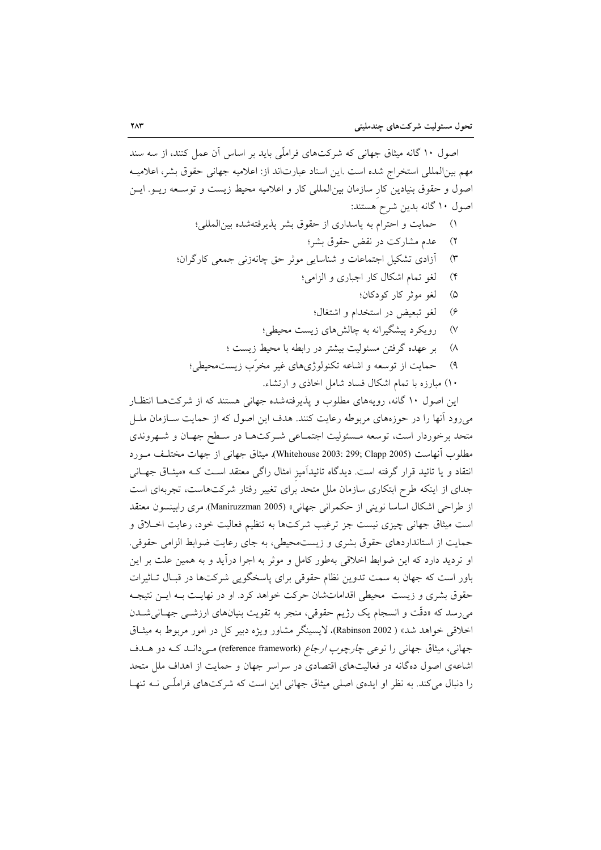اصول ۱۰ گانه میثاق جهانی که شرکتهای فراملّی باید بر اساس آن عمل کنند، از سه سند مهم بين|لمللي استخراج شده است .اين اسناد عبارت|ند از: اعلاميه جهاني حقوق بشر، اعلاميـه اصول و حقوق بنیادین کار سازمان بین|لمللی کار و اعلامیه محیط زیست و توسـعه ریــو. ایــن اصول ۱۰ گانه بدین شرح هستند:

- حمايت و احترام به پاسداري از حقوق بشر پذيرفتهشده بين المللي؛  $\left( \begin{array}{c} \lambda \\ \lambda \end{array} \right)$ 
	- عدم مشاركت در نقض حقوق بشر؛  $(\mathbf{y})$
- آزادی تشکیل اجتماعات و شناسایی موثر حق چانهزنی جمعی کارگران؛  $(\tau$ 
	- لغو تمام اشكال كار اجباري و الزامي؛  $($ ۴
		- لغو موثر کار کودکان؛  $\omega$
		- لغو تبعيض در استخدام و اشتغال؛  $(\epsilon$
	- رویکرد پیشگیرانه به چالش های زیست محیطی؛  $(V)$
	- ابر عهده گرفتن مسئولیت بیشتر در رابطه با محیط زیست ؛  $(\wedge$
	- حمايت از توسعه و اشاعه تكنولوژيهاي غير مخرّب زيست.حيطي؛  $(\mathcal{A})$ 
		- ۱۰) مبارزه با تمام اشکال فساد شامل اخاذی و ارتشاء.

این اصول ۱۰ گانه، رویههای مطلوب و پذیرفتهشده جهانی هستند که از شرکتها انتظار میرود آنها را در حوزههای مربوطه رعایت کنند. هدف این اصول که از حمایت سـازمان ملــل متحد برخوردار است، توسعه مـسئوليت اجتمـاعي شـركتهـا در سـطح جهـان و شـهروندي مطلوب آنهاست (2005 Whitehouse 2003: 299; Clapp). ميثاق جهاني از جهات مختلـف مـورد انتقاد و یا تائید قرار گرفته است. دیدگاه تائیدآمیز امثال راگ<sub>ی</sub> معتقد اسـت کـه «میثـاق جهـانی جدای از اینکه طرح ابتکاری سازمان ملل متحد برای تغییر رفتار شرکتهاست، تجربهای است از طراحی اشکال اساسا نوینی از حکمرانی جهانی» (Maniruzzman 2005). مری رابینسون معتقد است میثاق جهانی چیزی نیست جز ترغیب شرکتها به تنظیم فعالیت خود، رعایت اخلاق و حمایت از استانداردهای حقوق بشری و زیستهحیطی، به جای رعایت ضوابط الزامی حقوقی. او تردید دارد که این ضوابط اخلاقی بهطور کامل و موثر به اجرا درآید و به همین علت بر این باور است که جهان به سمت تدوین نظام حقوقی برای پاسخگویی شرکتها در قبـال تـاثیرات حقوق بشری و زیست ِ محیطی اقداماتشان حرکت خواهد کرد. او در نهایـت بـه ایـن نتیجـه می رسد که «دقّت و انسجام یک رژیم حقوقی، منجر به تقویت بنیانهای ارزشــی جهــانی شــدن اخلاقی خواهد شد» ( Rabinson 2002). لایسینگر مشاور ویژه دبیر کل در امور مربوط به میثـاق جهانی، میثاق جهانی را نوعی چ*ارچوب ارجاع (*reference framework) می دانـد کـه دو هـدف اشاعهی اصول دهگانه در فعالیتهای اقتصادی در سراسر جهان و حمایت از اهداف ملل متحد را دنبال می کند. به نظر او ایدهی اصلی میثاق جهانی این است که شرکتهای فراملّـی نــه تنهـا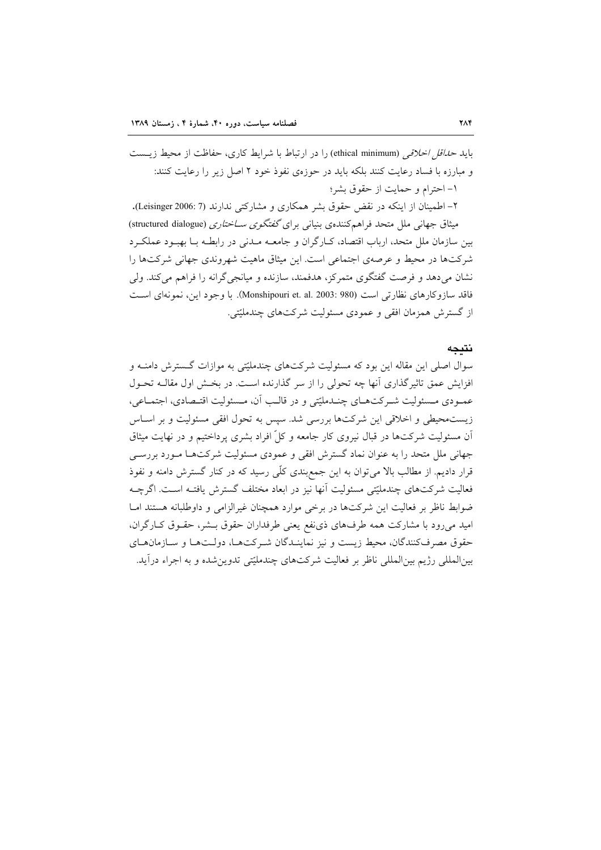باید *حداقل اخلاقی* (ethical minimum) را در ارتباط با شرایط کاری، حفاظت از محیط زیــست و مبارزه با فساد رعایت کنند بلکه باید در حوزهی نفوذ خود ۲ اصل زیر را رعایت کنند: ١- احترام و حمايت از حقوق بشر؛

۲– اطمینان از اینکه در نقض حقوق بشر همکاری و مشارکتی ندارند (Leisinger 2006: 7). میثاق جهانی ملل متحد فراهمکنندهی بنیانی برای گفتگوی *ســاختاری* (structured dialogue) بین سازمان ملل متحد، ارباب اقتصاد، کـارگران و جامعــه مــدنی در رابطــه بــا بهبــود عملکــرد شرکتها در محیط و عرصهی اجتماعی است. این میثاق ماهیت شهروندی جهانی شرکتها را نشان میدهد و فرصت گفتگوی متمرکز، هدفمند، سازنده و میانجی گرانه را فراهم میکند. ولی فاقد سازوکارهای نظارتی است (980 :903 :003). با وجود این، نمونهای است از گسترش همزمان افقی و عمودی مسئولیت شرکتهای چندملیّتی.

#### نتىحە

سوال اصلی این مقاله این بود که مسئولیت شرکتهای چندملیّتی به موازات گسترش دامنـه و افزایش عمق تاثیر گذاری آنها چه تحولی را از سر گذارنده است. در بخش اول مقالــه تحــول عمـودي مـسئوليت شـركتهـاي چنـدمليّتي و در قالـب أن، مـسئوليت اقتـصادي، اجتمـاعي، زیستمحیطی و اخلاقی این شرکتها بررسی شد. سپس به تحول افقی مسئولیت و بر اسـاس آن مسئولیت شرکتها در قبال نیروی کار جامعه و کلِّ افراد بشری پرداختیم و در نهایت میثاق جهانی ملل متحد را به عنوان نماد گسترش افقی و عمودی مسئولیت شرکتها مـورد بررسـی قرار دادیم. از مطالب بالا می توان به این جمع بندی کلّی رسید که در کنار گسترش دامنه و نفوذ فعالیت شرکتهای چندملیّتی مسئولیت آنها نیز در ابعاد مختلف گسترش یافتـه اسـت. اگرچــه ضوابط ناظر بر فعالیت این شرکتها در برخی موارد همچنان غیرالزامی و داوطلبانه هستند امـا امید میرود با مشارکت همه طرفهای ذی نفع یعنی طرفداران حقوق بـشر، حقـوق کـارگران، حقوق مصرف كنندگان، محيط زيست و نيز نماينـدگان شـركتهـا، دولـتهـا و سـازمانهـاي بین|لمللی رژیم بین|لمللی ناظر بر فعالیت شرکتهای چندملیّتی تدوین شده و به اجراء درآید.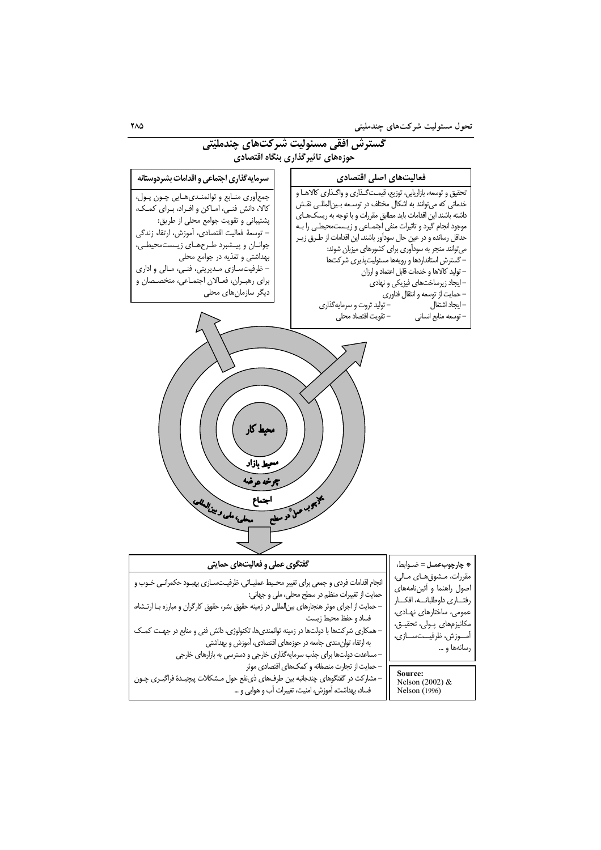

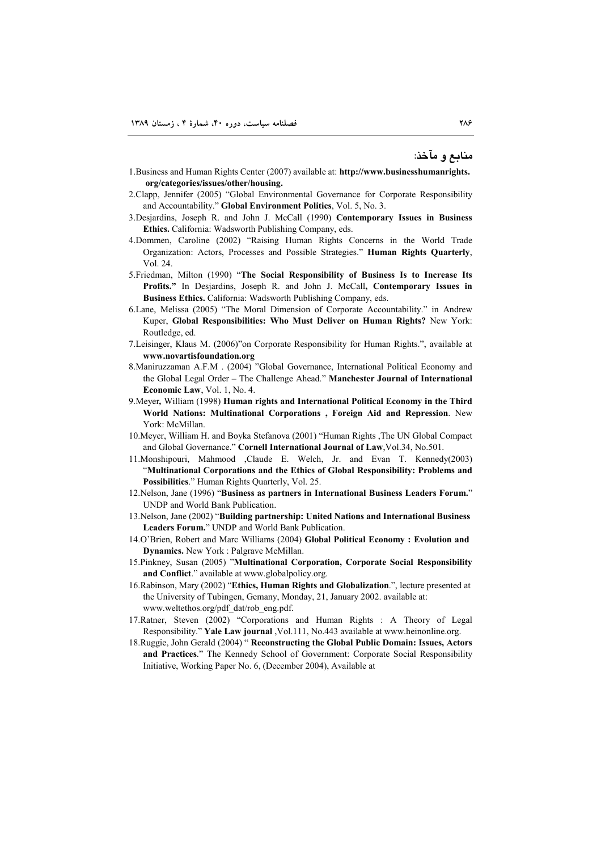م**ن**ابع و مآخذ:

- 1.Business and Human Rights Center (2007) available at: **http://www.businesshumanrights. org/categories/issues/other/housing.**
- 2.Clapp, Jennifer (2005) "Global Environmental Governance for Corporate Responsibility and Accountability." **Global Environment Politics**, Vol. 5, No. 3.
- 3.Desjardins, Joseph R. and John J. McCall (1990) **Contemporary Issues in Business Ethics.** California: Wadsworth Publishing Company, eds.
- 4.Dommen, Caroline (2002) "Raising Human Rights Concerns in the World Trade Organization: Actors, Processes and Possible Strategies." **Human Rights Quarterly**, Vol. 24.
- 5.Friedman, Milton (1990) "**The Social Responsibility of Business Is to Increase Its Profits."** In Desjardins, Joseph R. and John J. McCall**, Contemporary Issues in Business Ethics.** California: Wadsworth Publishing Company, eds.
- 6.Lane, Melissa (2005) "The Moral Dimension of Corporate Accountability." in Andrew Kuper, **Global Responsibilities: Who Must Deliver on Human Rights?** New York: Routledge, ed.
- 7.Leisinger, Klaus M. (2006)"on Corporate Responsibility for Human Rights.", available at **www.novartisfoundation.org**
- 8.Maniruzzaman A.F.M . (2004) "Global Governance, International Political Economy and the Global Legal Order – The Challenge Ahead." **Manchester Journal of International Economic Law**, Vol. 1, No. 4.
- 9.Meyer*,* William (1998) **Human rights and International Political Economy in the Third World Nations: Multinational Corporations , Foreign Aid and Repression**. New York: McMillan.
- 10.Meyer, William H. and Boyka Stefanova (2001) "Human Rights ,The UN Global Compact and Global Governance." **Cornell International Journal of Law**,Vol.34, No.501.
- 11.Monshipouri, Mahmood ,Claude E. Welch, Jr. and Evan T. Kennedy(2003) "**Multinational Corporations and the Ethics of Global Responsibility: Problems and Possibilities**." Human Rights Quarterly, Vol. 25.
- 12.Nelson, Jane (1996) "**Business as partners in International Business Leaders Forum.**" UNDP and World Bank Publication.
- 13.Nelson, Jane (2002) "**Building partnership: United Nations and International Business Leaders Forum.**" UNDP and World Bank Publication.
- 14.O'Brien, Robert and Marc Williams (2004) **Global Political Economy : Evolution and Dynamics.** New York : Palgrave McMillan.
- 15.Pinkney, Susan (2005) "**Multinational Corporation, Corporate Social Responsibility and Conflict**." available at www.globalpolicy.org.
- 16.Rabinson, Mary (2002) "**Ethics, Human Rights and Globalization**.", lecture presented at the University of Tubingen, Gemany, Monday, 21, January 2002. available at: www.weltethos.org/pdf\_dat/rob\_eng.pdf.
- 17.Ratner, Steven (2002) "Corporations and Human Rights : A Theory of Legal Responsibility." **Yale Law journal** ,Vol.111, No.443 available at www.heinonline.org.
- 18.Ruggie, John Gerald (2004) " **Reconstructing the Global Public Domain: Issues, Actors and Practices**." The Kennedy School of Government: Corporate Social Responsibility Initiative, Working Paper No. 6, (December 2004), Available at